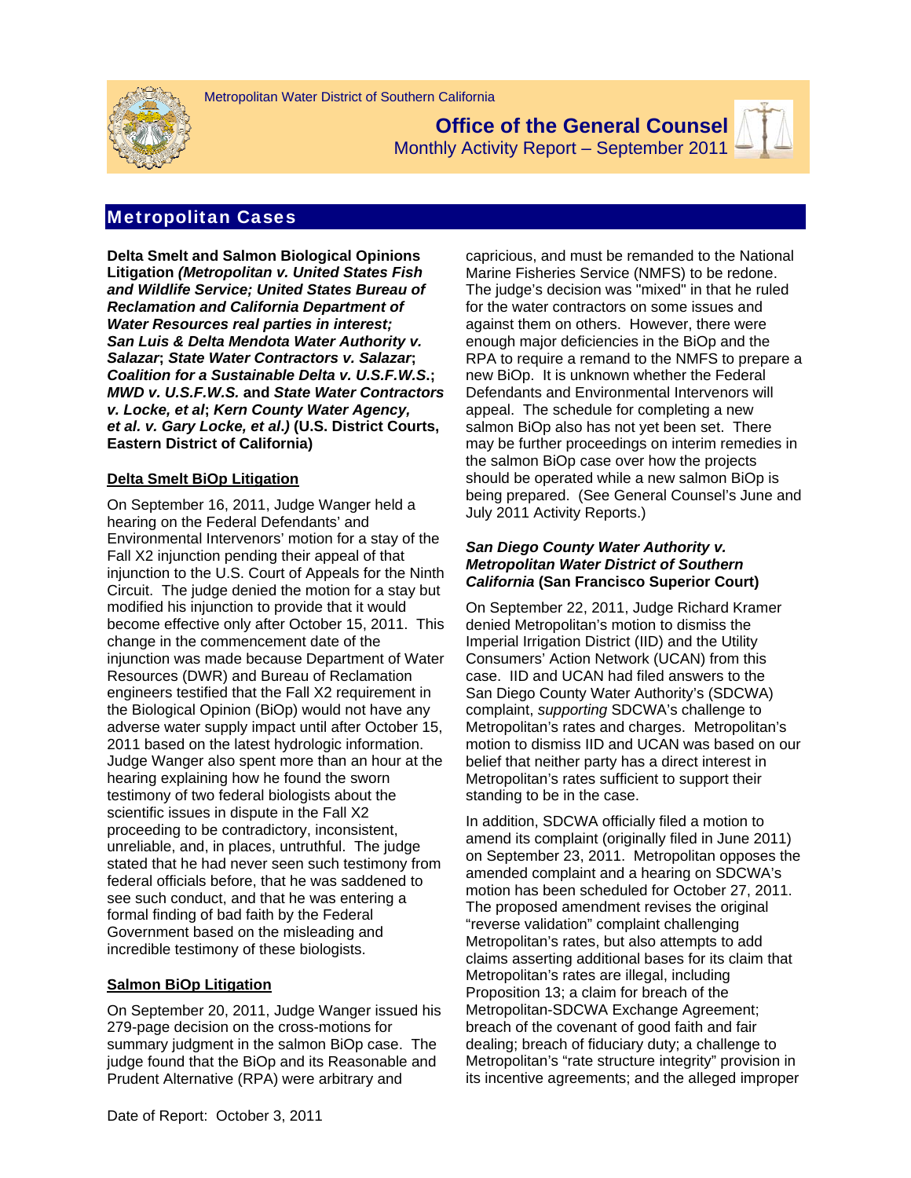

**Office of the General Counsel**  Monthly Activity Report – September 2011



# Metropolitan Cases

**Delta Smelt and Salmon Biological Opinions Litigation** *(Metropolitan v. United States Fish and Wildlife Service; United States Bureau of Reclamation and California Department of Water Resources real parties in interest; San Luis & Delta Mendota Water Authority v. Salazar***;** *State Water Contractors v. Salazar***;**  *Coalition for a Sustainable Delta v. U.S.F.W.S***.;**  *MWD v. U.S.F.W.S.* **and** *State Water Contractors v. Locke, et al***;** *Kern County Water Agency, et al. v. Gary Locke, et al***.***)* **(U.S. District Courts, Eastern District of California)** 

## **Delta Smelt BiOp Litigation**

On September 16, 2011, Judge Wanger held a hearing on the Federal Defendants' and Environmental Intervenors' motion for a stay of the Fall X2 injunction pending their appeal of that injunction to the U.S. Court of Appeals for the Ninth Circuit. The judge denied the motion for a stay but modified his injunction to provide that it would become effective only after October 15, 2011. This change in the commencement date of the injunction was made because Department of Water Resources (DWR) and Bureau of Reclamation engineers testified that the Fall X2 requirement in the Biological Opinion (BiOp) would not have any adverse water supply impact until after October 15, 2011 based on the latest hydrologic information. Judge Wanger also spent more than an hour at the hearing explaining how he found the sworn testimony of two federal biologists about the scientific issues in dispute in the Fall X2 proceeding to be contradictory, inconsistent, unreliable, and, in places, untruthful. The judge stated that he had never seen such testimony from federal officials before, that he was saddened to see such conduct, and that he was entering a formal finding of bad faith by the Federal Government based on the misleading and incredible testimony of these biologists.

### **Salmon BiOp Litigation**

On September 20, 2011, Judge Wanger issued his 279-page decision on the cross-motions for summary judgment in the salmon BiOp case. The judge found that the BiOp and its Reasonable and Prudent Alternative (RPA) were arbitrary and

capricious, and must be remanded to the National Marine Fisheries Service (NMFS) to be redone. The judge's decision was "mixed" in that he ruled for the water contractors on some issues and against them on others. However, there were enough major deficiencies in the BiOp and the RPA to require a remand to the NMFS to prepare a new BiOp. It is unknown whether the Federal Defendants and Environmental Intervenors will appeal. The schedule for completing a new salmon BiOp also has not yet been set. There may be further proceedings on interim remedies in the salmon BiOp case over how the projects should be operated while a new salmon BiOp is being prepared. (See General Counsel's June and July 2011 Activity Reports.)

### *San Diego County Water Authority v. Metropolitan Water District of Southern California* **(San Francisco Superior Court)**

On September 22, 2011, Judge Richard Kramer denied Metropolitan's motion to dismiss the Imperial Irrigation District (IID) and the Utility Consumers' Action Network (UCAN) from this case. IID and UCAN had filed answers to the San Diego County Water Authority's (SDCWA) complaint, *supporting* SDCWA's challenge to Metropolitan's rates and charges. Metropolitan's motion to dismiss IID and UCAN was based on our belief that neither party has a direct interest in Metropolitan's rates sufficient to support their standing to be in the case.

In addition, SDCWA officially filed a motion to amend its complaint (originally filed in June 2011) on September 23, 2011. Metropolitan opposes the amended complaint and a hearing on SDCWA's motion has been scheduled for October 27, 2011. The proposed amendment revises the original "reverse validation" complaint challenging Metropolitan's rates, but also attempts to add claims asserting additional bases for its claim that Metropolitan's rates are illegal, including Proposition 13; a claim for breach of the Metropolitan-SDCWA Exchange Agreement; breach of the covenant of good faith and fair dealing; breach of fiduciary duty; a challenge to Metropolitan's "rate structure integrity" provision in its incentive agreements; and the alleged improper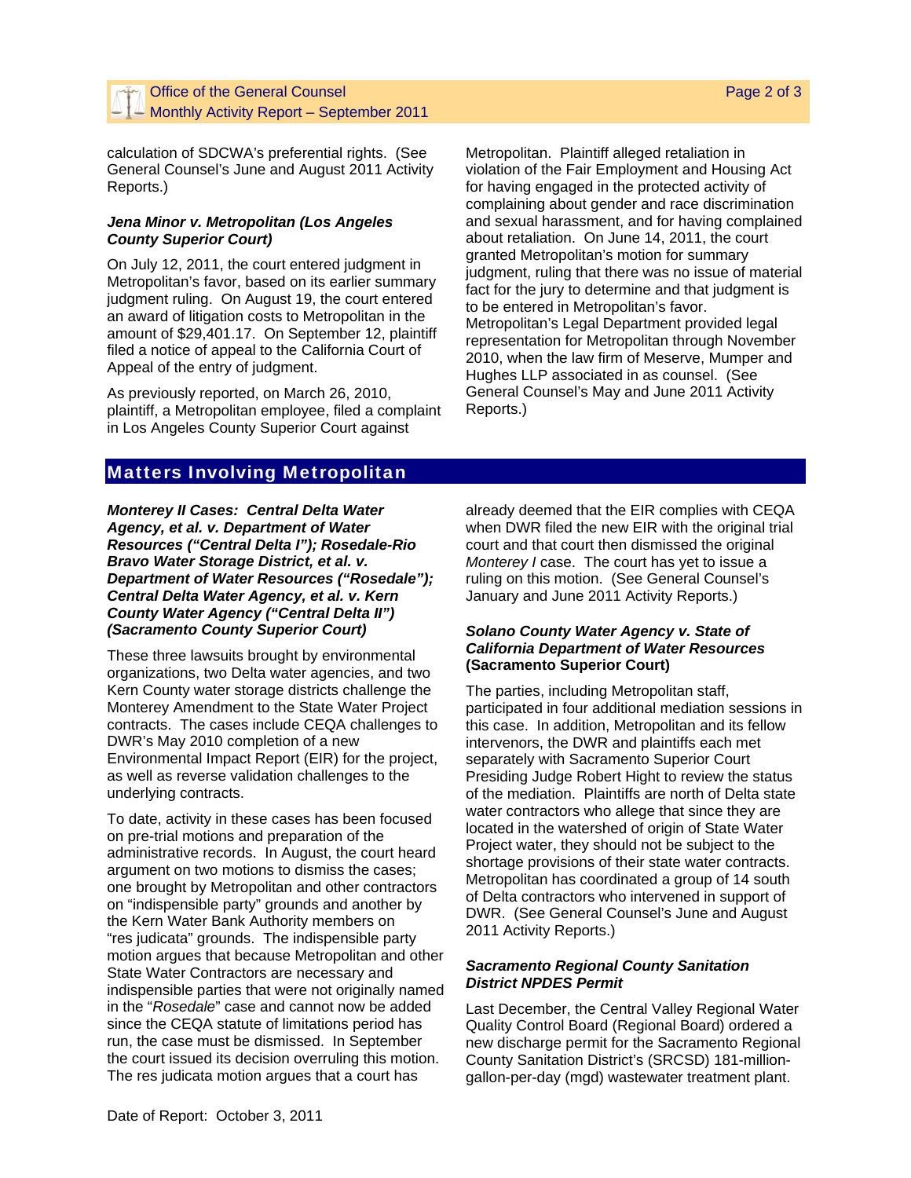calculation of SDCWA's preferential rights. (See General Counsel's June and August 2011 Activity Reports.)

### *Jena Minor v. Metropolitan (Los Angeles County Superior Court)*

On July 12, 2011, the court entered judgment in Metropolitan's favor, based on its earlier summary judgment ruling. On August 19, the court entered an award of litigation costs to Metropolitan in the amount of \$29,401.17. On September 12, plaintiff filed a notice of appeal to the California Court of Appeal of the entry of judgment.

As previously reported, on March 26, 2010, plaintiff, a Metropolitan employee, filed a complaint in Los Angeles County Superior Court against

Metropolitan. Plaintiff alleged retaliation in violation of the Fair Employment and Housing Act for having engaged in the protected activity of complaining about gender and race discrimination and sexual harassment, and for having complained about retaliation. On June 14, 2011, the court granted Metropolitan's motion for summary judgment, ruling that there was no issue of material fact for the jury to determine and that judgment is to be entered in Metropolitan's favor. Metropolitan's Legal Department provided legal representation for Metropolitan through November 2010, when the law firm of Meserve, Mumper and Hughes LLP associated in as counsel. (See General Counsel's May and June 2011 Activity Reports.)

## Matters Involving Metropolitan

*Monterey II Cases: Central Delta Water Agency, et al. v. Department of Water Resources ("Central Delta I"); Rosedale-Rio Bravo Water Storage District, et al. v. Department of Water Resources ("Rosedale"); Central Delta Water Agency, et al. v. Kern County Water Agency ("Central Delta II") (Sacramento County Superior Court)* 

These three lawsuits brought by environmental organizations, two Delta water agencies, and two Kern County water storage districts challenge the Monterey Amendment to the State Water Project contracts. The cases include CEQA challenges to DWR's May 2010 completion of a new Environmental Impact Report (EIR) for the project, as well as reverse validation challenges to the underlying contracts.

To date, activity in these cases has been focused on pre-trial motions and preparation of the administrative records. In August, the court heard argument on two motions to dismiss the cases; one brought by Metropolitan and other contractors on "indispensible party" grounds and another by the Kern Water Bank Authority members on "res judicata" grounds. The indispensible party motion argues that because Metropolitan and other State Water Contractors are necessary and indispensible parties that were not originally named in the "*Rosedale*" case and cannot now be added since the CEQA statute of limitations period has run, the case must be dismissed. In September the court issued its decision overruling this motion. The res judicata motion argues that a court has

already deemed that the EIR complies with CEQA when DWR filed the new EIR with the original trial court and that court then dismissed the original *Monterey I* case. The court has yet to issue a ruling on this motion. (See General Counsel's January and June 2011 Activity Reports.)

### *Solano County Water Agency v. State of California Department of Water Resources*  **(Sacramento Superior Court)**

The parties, including Metropolitan staff, participated in four additional mediation sessions in this case. In addition, Metropolitan and its fellow intervenors, the DWR and plaintiffs each met separately with Sacramento Superior Court Presiding Judge Robert Hight to review the status of the mediation. Plaintiffs are north of Delta state water contractors who allege that since they are located in the watershed of origin of State Water Project water, they should not be subject to the shortage provisions of their state water contracts. Metropolitan has coordinated a group of 14 south of Delta contractors who intervened in support of DWR. (See General Counsel's June and August 2011 Activity Reports.)

## *Sacramento Regional County Sanitation District NPDES Permit*

Last December, the Central Valley Regional Water Quality Control Board (Regional Board) ordered a new discharge permit for the Sacramento Regional County Sanitation District's (SRCSD) 181-milliongallon-per-day (mgd) wastewater treatment plant.